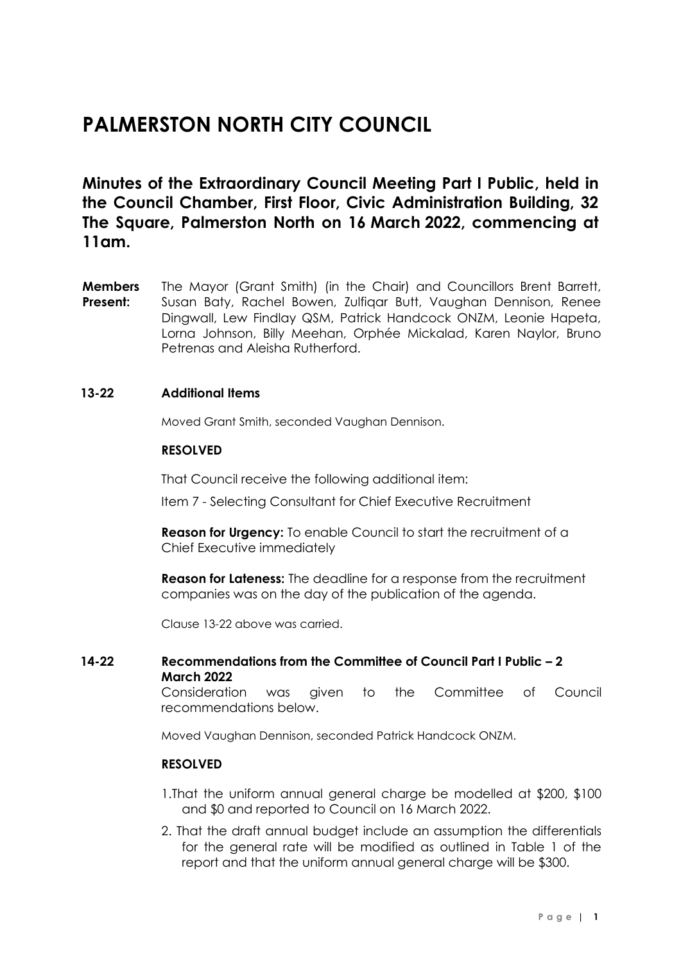# **PALMERSTON NORTH CITY COUNCIL**

**Minutes of the Extraordinary Council Meeting Part I Public, held in the Council Chamber, First Floor, Civic Administration Building, 32 The Square, Palmerston North on 16 March 2022, commencing at 11am.**

**Members Present:** The Mayor (Grant Smith) (in the Chair) and Councillors Brent Barrett, Susan Baty, Rachel Bowen, Zulfiqar Butt, Vaughan Dennison, Renee Dingwall, Lew Findlay QSM, Patrick Handcock ONZM, Leonie Hapeta, Lorna Johnson, Billy Meehan, Orphée Mickalad, Karen Naylor, Bruno Petrenas and Aleisha Rutherford.

# **13-22 Additional Items**

Moved Grant Smith, seconded Vaughan Dennison.

# **RESOLVED**

That Council receive the following additional item:

Item 7 - Selecting Consultant for Chief Executive Recruitment

**Reason for Urgency:** To enable Council to start the recruitment of a Chief Executive immediately

**Reason for Lateness:** The deadline for a response from the recruitment companies was on the day of the publication of the agenda.

Clause 13-22 above was carried.

# **14-22 Recommendations from the Committee of Council Part I Public – 2 March 2022**

Consideration was given to the Committee of Council recommendations below.

Moved Vaughan Dennison, seconded Patrick Handcock ONZM.

# **RESOLVED**

- 1.That the uniform annual general charge be modelled at \$200, \$100 and \$0 and reported to Council on 16 March 2022.
- 2. That the draft annual budget include an assumption the differentials for the general rate will be modified as outlined in Table 1 of the report and that the uniform annual general charge will be \$300.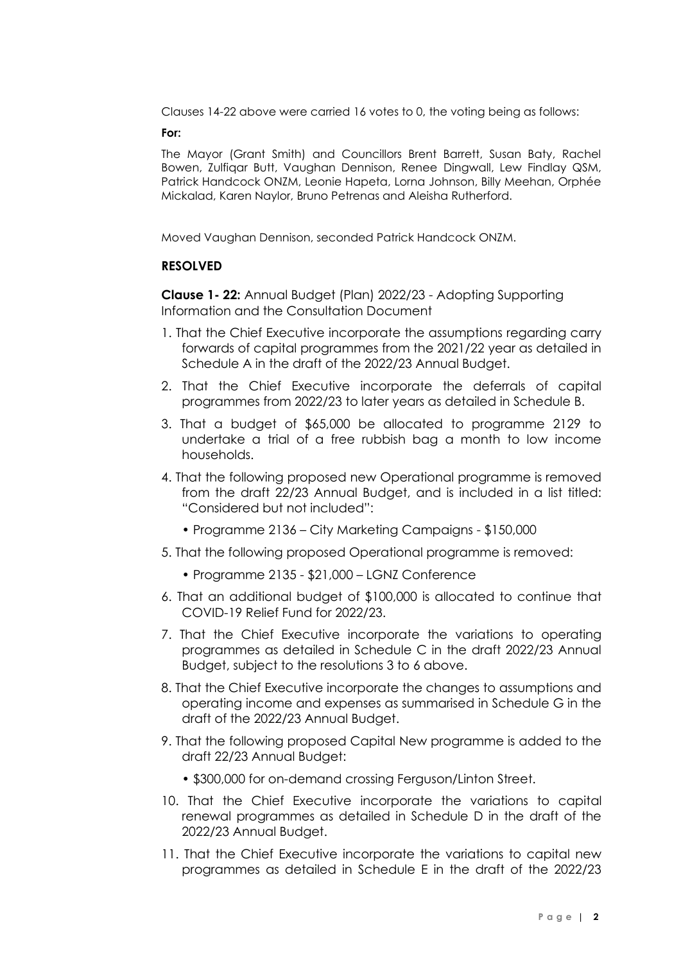Clauses 14-22 above were carried 16 votes to 0, the voting being as follows:

# **For:**

The Mayor (Grant Smith) and Councillors Brent Barrett, Susan Baty, Rachel Bowen, Zulfiqar Butt, Vaughan Dennison, Renee Dingwall, Lew Findlay QSM, Patrick Handcock ONZM, Leonie Hapeta, Lorna Johnson, Billy Meehan, Orphée Mickalad, Karen Naylor, Bruno Petrenas and Aleisha Rutherford.

Moved Vaughan Dennison, seconded Patrick Handcock ONZM.

# **RESOLVED**

**Clause 1- 22:** Annual Budget (Plan) 2022/23 - Adopting Supporting Information and the Consultation Document

- 1. That the Chief Executive incorporate the assumptions regarding carry forwards of capital programmes from the 2021/22 year as detailed in Schedule A in the draft of the 2022/23 Annual Budget.
- 2. That the Chief Executive incorporate the deferrals of capital programmes from 2022/23 to later years as detailed in Schedule B.
- 3. That a budget of \$65,000 be allocated to programme 2129 to undertake a trial of a free rubbish bag a month to low income households.
- 4. That the following proposed new Operational programme is removed from the draft 22/23 Annual Budget, and is included in a list titled: "Considered but not included":
	- Programme 2136 City Marketing Campaigns \$150,000
- 5. That the following proposed Operational programme is removed:
	- Programme 2135 \$21,000 LGNZ Conference
- 6. That an additional budget of \$100,000 is allocated to continue that COVID-19 Relief Fund for 2022/23.
- 7. That the Chief Executive incorporate the variations to operating programmes as detailed in Schedule C in the draft 2022/23 Annual Budget, subject to the resolutions 3 to 6 above.
- 8. That the Chief Executive incorporate the changes to assumptions and operating income and expenses as summarised in Schedule G in the draft of the 2022/23 Annual Budget.
- 9. That the following proposed Capital New programme is added to the draft 22/23 Annual Budget:
	- \$300,000 for on-demand crossing Ferguson/Linton Street.
- 10. That the Chief Executive incorporate the variations to capital renewal programmes as detailed in Schedule D in the draft of the 2022/23 Annual Budget.
- 11. That the Chief Executive incorporate the variations to capital new programmes as detailed in Schedule E in the draft of the 2022/23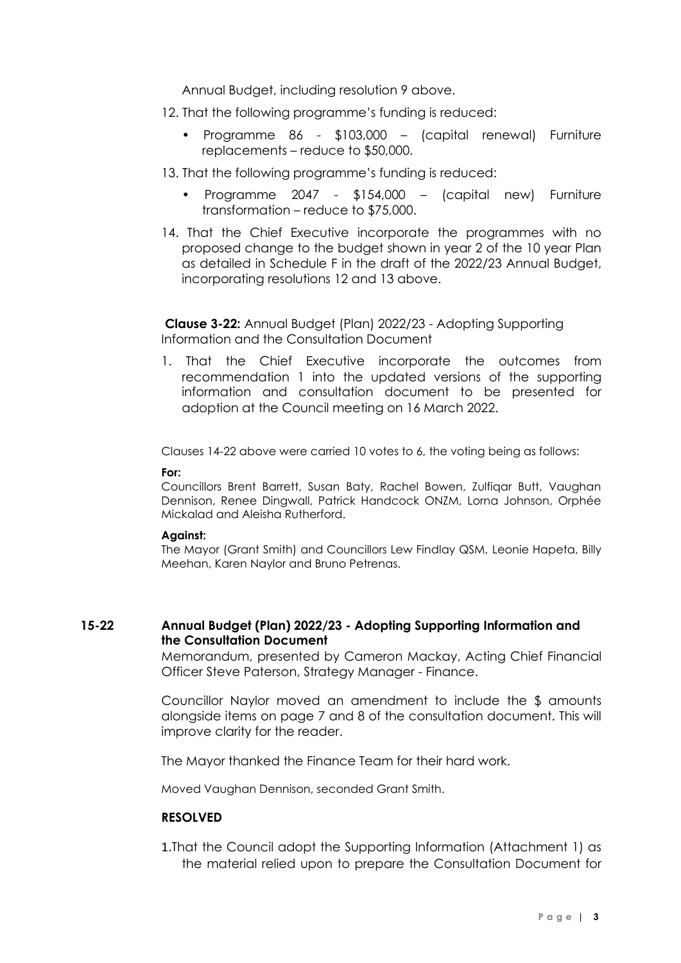Annual Budget, including resolution 9 above.

- 12. That the following programme's funding is reduced:
	- Programme 86 \$103,000 (capital renewal) Furniture replacements – reduce to \$50,000.
- 13. That the following programme's funding is reduced:
	- Programme 2047 \$154,000 (capital new) Furniture transformation – reduce to \$75,000.
- 14. That the Chief Executive incorporate the programmes with no proposed change to the budget shown in year 2 of the 10 year Plan as detailed in Schedule F in the draft of the 2022/23 Annual Budget, incorporating resolutions 12 and 13 above.

**Clause 3-22:** Annual Budget (Plan) 2022/23 - Adopting Supporting Information and the Consultation Document

1. That the Chief Executive incorporate the outcomes from recommendation 1 into the updated versions of the supporting information and consultation document to be presented for adoption at the Council meeting on 16 March 2022.

Clauses 14-22 above were carried 10 votes to 6, the voting being as follows:

#### **For:**

Councillors Brent Barrett, Susan Baty, Rachel Bowen, Zulfiqar Butt, Vaughan Dennison, Renee Dingwall, Patrick Handcock ONZM, Lorna Johnson, Orphée Mickalad and Aleisha Rutherford.

#### **Against:**

The Mayor (Grant Smith) and Councillors Lew Findlay QSM, Leonie Hapeta, Billy Meehan, Karen Naylor and Bruno Petrenas.

# **15-22 Annual Budget (Plan) 2022/23 - Adopting Supporting Information and the Consultation Document**

Memorandum, presented by Cameron Mackay, Acting Chief Financial Officer Steve Paterson, Strategy Manager - Finance.

Councillor Naylor moved an amendment to include the \$ amounts alongside items on page 7 and 8 of the consultation document. This will improve clarity for the reader.

The Mayor thanked the Finance Team for their hard work.

Moved Vaughan Dennison, seconded Grant Smith.

# **RESOLVED**

1.That the Council adopt the Supporting Information (Attachment 1) as the material relied upon to prepare the Consultation Document for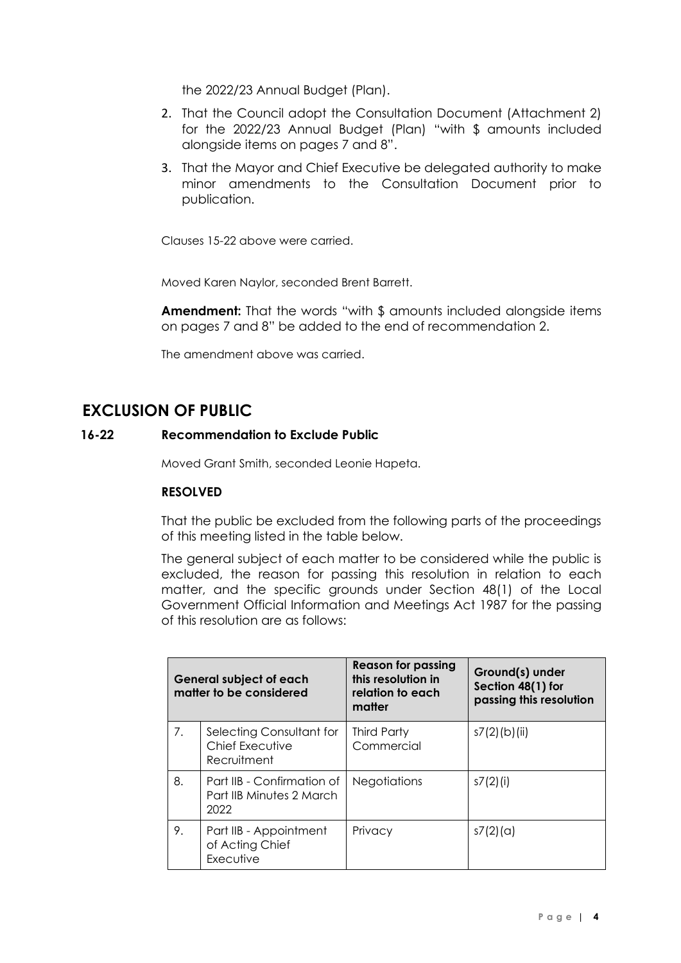the 2022/23 Annual Budget (Plan).

- 2. That the Council adopt the Consultation Document (Attachment 2) for the 2022/23 Annual Budget (Plan) "with \$ amounts included alongside items on pages 7 and 8".
- 3. That the Mayor and Chief Executive be delegated authority to make minor amendments to the Consultation Document prior to publication.

Clauses 15-22 above were carried.

Moved Karen Naylor, seconded Brent Barrett.

**Amendment:** That the words "with \$ amounts included alongside items on pages 7 and 8" be added to the end of recommendation 2.

The amendment above was carried.

# **EXCLUSION OF PUBLIC**

# **16-22 Recommendation to Exclude Public**

Moved Grant Smith, seconded Leonie Hapeta.

# **RESOLVED**

That the public be excluded from the following parts of the proceedings of this meeting listed in the table below.

The general subject of each matter to be considered while the public is excluded, the reason for passing this resolution in relation to each matter, and the specific grounds under Section 48(1) of the Local Government Official Information and Meetings Act 1987 for the passing of this resolution are as follows:

| <b>General subject of each</b><br>matter to be considered |                                                                | <b>Reason for passing</b><br>this resolution in<br>relation to each<br>matter | Ground(s) under<br>Section 48(1) for<br>passing this resolution |
|-----------------------------------------------------------|----------------------------------------------------------------|-------------------------------------------------------------------------------|-----------------------------------------------------------------|
| 7.                                                        | Selecting Consultant for<br>Chief Executive<br>Recruitment     | <b>Third Party</b><br>Commercial                                              | $s7(2)$ (b)(ii)                                                 |
| 8.                                                        | Part IIB - Confirmation of<br>Part IIB Minutes 2 March<br>2022 | <b>Negotiations</b>                                                           | s7(2)(i)                                                        |
| 9.                                                        | Part IIB - Appointment<br>of Acting Chief<br>Executive         | Privacy                                                                       | s7(2)(a)                                                        |